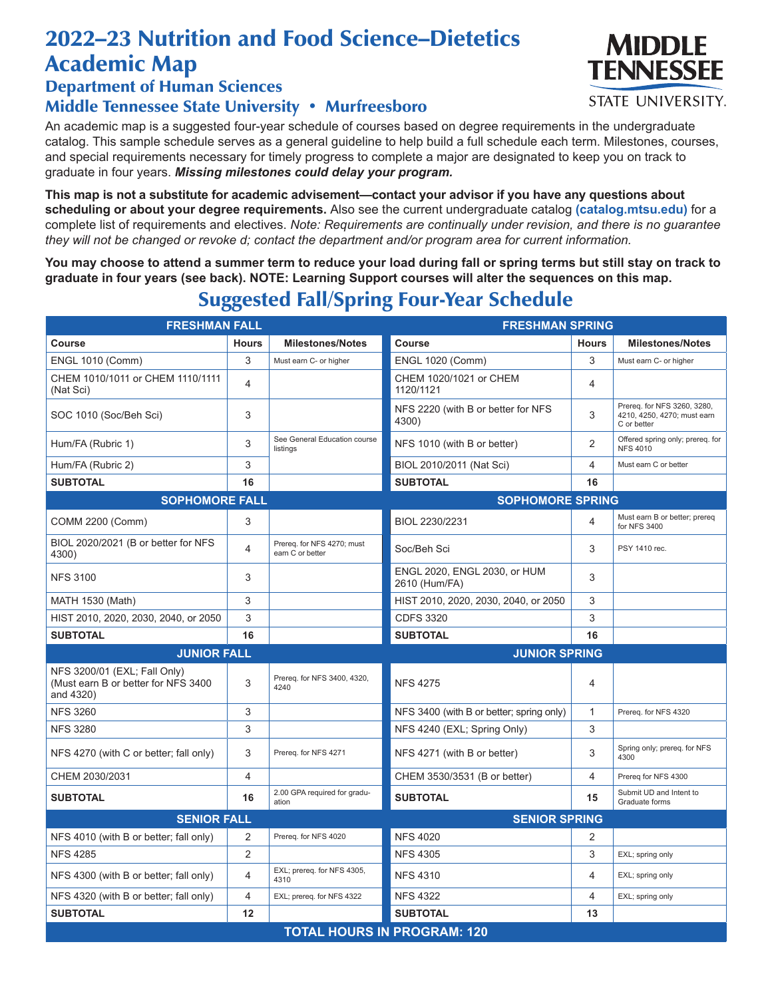## 2022–23 Nutrition and Food Science–Dietetics Academic Map

Department of Human Sciences

## Middle Tennessee State University • Murfreesboro

An academic map is a suggested four-year schedule of courses based on degree requirements in the undergraduate catalog. This sample schedule serves as a general guideline to help build a full schedule each term. Milestones, courses, and special requirements necessary for timely progress to complete a major are designated to keep you on track to graduate in four years. *Missing milestones could delay your program.*

**This map is not a substitute for academic advisement—contact your advisor if you have any questions about scheduling or about your degree requirements.** Also see the current undergraduate catalog **(catalog.mtsu.edu)** for a complete list of requirements and electives. *Note: Requirements are continually under revision, and there is no guarantee they will not be changed or revoke d; contact the department and/or program area for current information.*

**You may choose to attend a summer term to reduce your load during fall or spring terms but still stay on track to graduate in four years (see back). NOTE: Learning Support courses will alter the sequences on this map.**

Suggested Fall/Spring Four-Year Schedule

| <b>FRESHMAN FALL</b>                                                             |                |                                                | <b>FRESHMAN SPRING</b>                        |                |                                                                           |  |  |  |
|----------------------------------------------------------------------------------|----------------|------------------------------------------------|-----------------------------------------------|----------------|---------------------------------------------------------------------------|--|--|--|
| Course                                                                           | <b>Hours</b>   | <b>Milestones/Notes</b>                        | Course                                        | <b>Hours</b>   | <b>Milestones/Notes</b>                                                   |  |  |  |
| <b>ENGL 1010 (Comm)</b>                                                          | 3              | Must earn C- or higher                         | <b>ENGL 1020 (Comm)</b>                       | 3              | Must earn C- or higher                                                    |  |  |  |
| CHEM 1010/1011 or CHEM 1110/1111<br>(Nat Sci)                                    | 4              |                                                | CHEM 1020/1021 or CHEM<br>1120/1121           | 4              |                                                                           |  |  |  |
| SOC 1010 (Soc/Beh Sci)                                                           | 3              |                                                | NFS 2220 (with B or better for NFS<br>4300)   | 3              | Prereq. for NFS 3260, 3280,<br>4210, 4250, 4270; must earn<br>C or better |  |  |  |
| Hum/FA (Rubric 1)                                                                | 3              | See General Education course<br>listings       | NFS 1010 (with B or better)                   | $\overline{2}$ | Offered spring only; prereq. for<br><b>NFS 4010</b>                       |  |  |  |
| Hum/FA (Rubric 2)                                                                | 3              |                                                | BIOL 2010/2011 (Nat Sci)                      | $\overline{4}$ | Must earn C or better                                                     |  |  |  |
| <b>SUBTOTAL</b>                                                                  | 16             |                                                | <b>SUBTOTAL</b>                               | 16             |                                                                           |  |  |  |
| <b>SOPHOMORE FALL</b><br><b>SOPHOMORE SPRING</b>                                 |                |                                                |                                               |                |                                                                           |  |  |  |
| COMM 2200 (Comm)                                                                 | 3              |                                                | BIOL 2230/2231                                | 4              | Must earn B or better; prereq<br>for NFS 3400                             |  |  |  |
| BIOL 2020/2021 (B or better for NFS<br>4300)                                     | 4              | Prereq. for NFS 4270; must<br>earn C or better | Soc/Beh Sci                                   | 3              | PSY 1410 rec.                                                             |  |  |  |
| <b>NFS 3100</b>                                                                  | 3              |                                                | ENGL 2020, ENGL 2030, or HUM<br>2610 (Hum/FA) | 3              |                                                                           |  |  |  |
| MATH 1530 (Math)                                                                 | 3              |                                                | HIST 2010, 2020, 2030, 2040, or 2050          | 3              |                                                                           |  |  |  |
| HIST 2010, 2020, 2030, 2040, or 2050                                             | 3              |                                                | <b>CDFS 3320</b>                              | 3              |                                                                           |  |  |  |
| <b>SUBTOTAL</b>                                                                  | 16             |                                                | <b>SUBTOTAL</b>                               | 16             |                                                                           |  |  |  |
| <b>JUNIOR FALL</b>                                                               |                |                                                | <b>JUNIOR SPRING</b>                          |                |                                                                           |  |  |  |
| NFS 3200/01 (EXL; Fall Only)<br>(Must earn B or better for NFS 3400<br>and 4320) | 3              | Prereq. for NFS 3400, 4320,<br>4240            | <b>NFS 4275</b>                               | $\overline{4}$ |                                                                           |  |  |  |
| <b>NFS 3260</b>                                                                  | 3              |                                                | NFS 3400 (with B or better; spring only)      | 1              | Prereq. for NFS 4320                                                      |  |  |  |
| <b>NFS 3280</b>                                                                  | 3              |                                                | NFS 4240 (EXL; Spring Only)                   | 3              |                                                                           |  |  |  |
| NFS 4270 (with C or better; fall only)                                           | 3              | Prereq. for NFS 4271                           | NFS 4271 (with B or better)                   | 3              | Spring only; prereq. for NFS<br>4300                                      |  |  |  |
| CHEM 2030/2031                                                                   | 4              |                                                | CHEM 3530/3531 (B or better)                  | 4              | Prereq for NFS 4300                                                       |  |  |  |
| <b>SUBTOTAL</b>                                                                  | 16             | 2.00 GPA required for gradu-<br>ation          | <b>SUBTOTAL</b>                               | 15             | Submit UD and Intent to<br>Graduate forms                                 |  |  |  |
| <b>SENIOR FALL</b>                                                               |                |                                                | <b>SENIOR SPRING</b>                          |                |                                                                           |  |  |  |
| NFS 4010 (with B or better; fall only)                                           | 2              | Prereq. for NFS 4020                           | <b>NFS 4020</b>                               | 2              |                                                                           |  |  |  |
| <b>NFS 4285</b>                                                                  | $\overline{2}$ |                                                | <b>NFS 4305</b>                               | 3              | EXL; spring only                                                          |  |  |  |
| NFS 4300 (with B or better; fall only)                                           | 4              | EXL; prereq. for NFS 4305,<br>4310             | <b>NFS 4310</b>                               | 4              | EXL; spring only                                                          |  |  |  |
| NFS 4320 (with B or better; fall only)                                           | 4              | EXL; prereq. for NFS 4322                      | <b>NFS 4322</b>                               | 4              | EXL; spring only                                                          |  |  |  |
| <b>SUBTOTAL</b>                                                                  | 12             |                                                | <b>SUBTOTAL</b>                               | 13             |                                                                           |  |  |  |
| <b>TOTAL HOURS IN PROGRAM: 120</b>                                               |                |                                                |                                               |                |                                                                           |  |  |  |

MIDDI F TENNESSEE **STATE UNIVERSITY.**